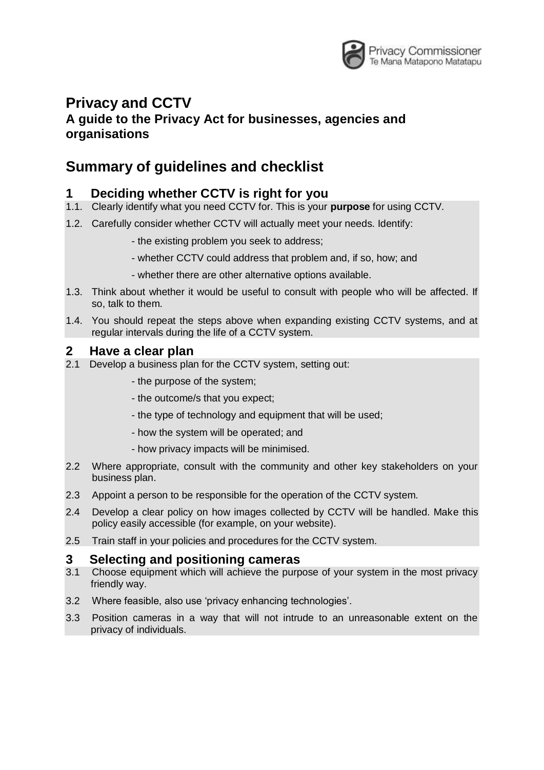

# **Privacy and CCTV**

#### **A guide to the Privacy Act for businesses, agencies and organisations**

## **Summary of guidelines and checklist**

### **1 Deciding whether CCTV is right for you**

- 1.1. Clearly identify what you need CCTV for. This is your **purpose** for using CCTV.
- 1.2. Carefully consider whether CCTV will actually meet your needs. Identify:
	- the existing problem you seek to address;
	- whether CCTV could address that problem and, if so, how; and
	- whether there are other alternative options available.
- 1.3. Think about whether it would be useful to consult with people who will be affected. If so, talk to them.
- 1.4. You should repeat the steps above when expanding existing CCTV systems, and at regular intervals during the life of a CCTV system.

#### **2 Have a clear plan**

- 2.1 Develop a business plan for the CCTV system, setting out:
	- the purpose of the system;
	- the outcome/s that you expect;
	- the type of technology and equipment that will be used;
	- how the system will be operated; and
	- how privacy impacts will be minimised.
- 2.2 Where appropriate, consult with the community and other key stakeholders on your business plan.
- 2.3 Appoint a person to be responsible for the operation of the CCTV system.
- 2.4 Develop a clear policy on how images collected by CCTV will be handled. Make this policy easily accessible (for example, on your website).
- 2.5 Train staff in your policies and procedures for the CCTV system.

#### **3 Selecting and positioning cameras**

- 3.1 Choose equipment which will achieve the purpose of your system in the most privacy friendly way.
- 3.2 Where feasible, also use 'privacy enhancing technologies'.
- 3.3 Position cameras in a way that will not intrude to an unreasonable extent on the privacy of individuals.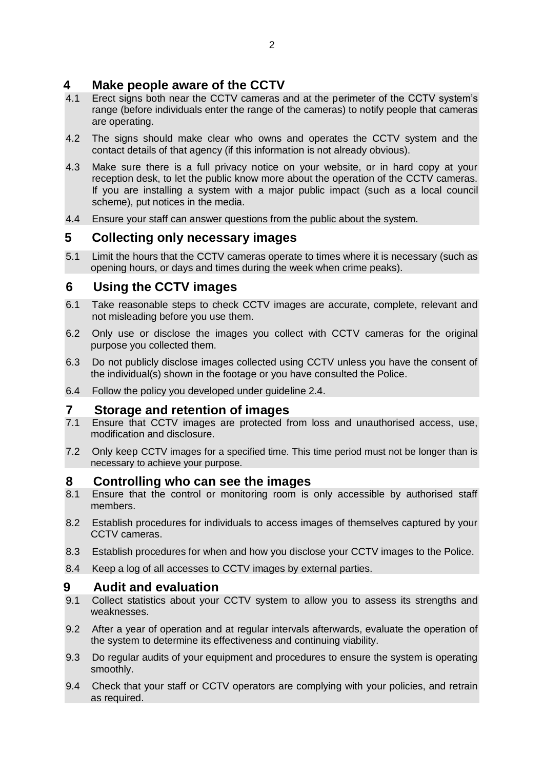#### **4 Make people aware of the CCTV**

- 4.1 Erect signs both near the CCTV cameras and at the perimeter of the CCTV system's range (before individuals enter the range of the cameras) to notify people that cameras are operating.
- 4.2 The signs should make clear who owns and operates the CCTV system and the contact details of that agency (if this information is not already obvious).
- 4.3 Make sure there is a full privacy notice on your website, or in hard copy at your reception desk, to let the public know more about the operation of the CCTV cameras. If you are installing a system with a major public impact (such as a local council scheme), put notices in the media.
- 4.4 Ensure your staff can answer questions from the public about the system.

#### **5 Collecting only necessary images**

5.1 Limit the hours that the CCTV cameras operate to times where it is necessary (such as opening hours, or days and times during the week when crime peaks).

#### **6 Using the CCTV images**

- 6.1 Take reasonable steps to check CCTV images are accurate, complete, relevant and not misleading before you use them.
- 6.2 Only use or disclose the images you collect with CCTV cameras for the original purpose you collected them.
- 6.3 Do not publicly disclose images collected using CCTV unless you have the consent of the individual(s) shown in the footage or you have consulted the Police.
- 6.4 Follow the policy you developed under guideline 2.4.

#### **7 Storage and retention of images**

- 7.1 Ensure that CCTV images are protected from loss and unauthorised access, use, modification and disclosure.
- 7.2 Only keep CCTV images for a specified time. This time period must not be longer than is necessary to achieve your purpose.

#### **8 Controlling who can see the images**

- 8.1 Ensure that the control or monitoring room is only accessible by authorised staff members.
- 8.2 Establish procedures for individuals to access images of themselves captured by your CCTV cameras.
- 8.3 Establish procedures for when and how you disclose your CCTV images to the Police.
- 8.4 Keep a log of all accesses to CCTV images by external parties.

#### **9 Audit and evaluation**

- 9.1 Collect statistics about your CCTV system to allow you to assess its strengths and weaknesses.
- 9.2 After a year of operation and at regular intervals afterwards, evaluate the operation of the system to determine its effectiveness and continuing viability.
- 9.3 Do regular audits of your equipment and procedures to ensure the system is operating smoothly.
- 9.4 Check that your staff or CCTV operators are complying with your policies, and retrain as required.